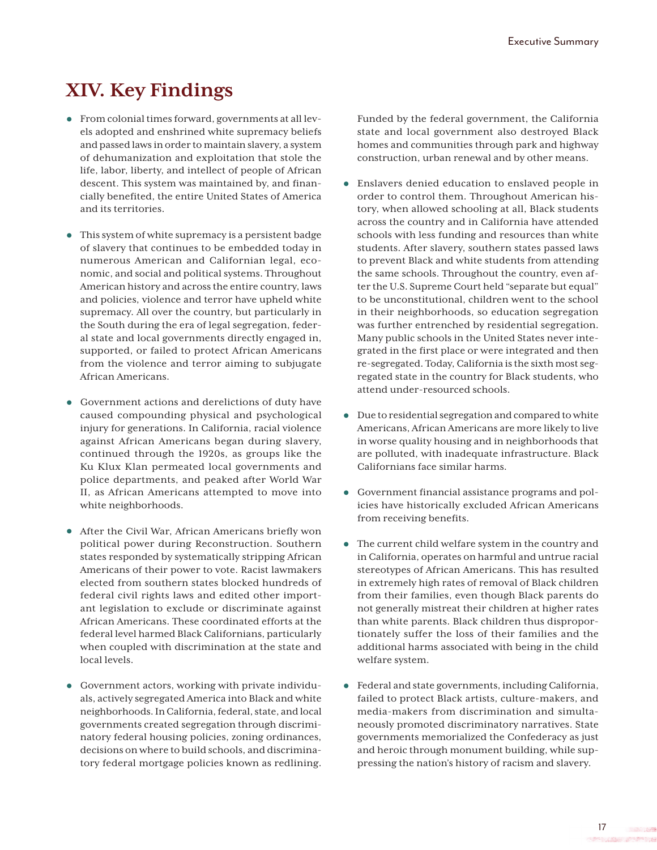## **XIV. Key Findings**

- **•** From colonial times forward, governments at all levels adopted and enshrined white supremacy beliefs and passed laws in order to maintain slavery, a system of dehumanization and exploitation that stole the life, labor, liberty, and intellect of people of African descent. This system was maintained by, and financially benefited, the entire United States of America and its territories.
- **•** This system of white supremacy is a persistent badge of slavery that continues to be embedded today in numerous American and Californian legal, economic, and social and political systems. Throughout American history and across the entire country, laws and policies, violence and terror have upheld white supremacy. All over the country, but particularly in the South during the era of legal segregation, federal state and local governments directly engaged in, supported, or failed to protect African Americans from the violence and terror aiming to subjugate African Americans.
- **•** Government actions and derelictions of duty have caused compounding physical and psychological injury for generations. In California, racial violence against African Americans began during slavery, continued through the 1920s, as groups like the Ku Klux Klan permeated local governments and police departments, and peaked after World War II, as African Americans attempted to move into white neighborhoods.
- **•** After the Civil War, African Americans briefly won political power during Reconstruction. Southern states responded by systematically stripping African Americans of their power to vote. Racist lawmakers elected from southern states blocked hundreds of federal civil rights laws and edited other important legislation to exclude or discriminate against African Americans. These coordinated efforts at the federal level harmed Black Californians, particularly when coupled with discrimination at the state and local levels.
- **•** Government actors, working with private individuals, actively segregated America into Black and white neighborhoods. In California, federal, state, and local governments created segregation through discriminatory federal housing policies, zoning ordinances, decisions on where to build schools, and discriminatory federal mortgage policies known as redlining.

Funded by the federal government, the California state and local government also destroyed Black homes and communities through park and highway construction, urban renewal and by other means.

- **•** Enslavers denied education to enslaved people in order to control them. Throughout American history, when allowed schooling at all, Black students across the country and in California have attended schools with less funding and resources than white students. After slavery, southern states passed laws to prevent Black and white students from attending the same schools. Throughout the country, even after the U.S. Supreme Court held "separate but equal" to be unconstitutional, children went to the school in their neighborhoods, so education segregation was further entrenched by residential segregation. Many public schools in the United States never integrated in the first place or were integrated and then re-segregated. Today, California is the sixth most segregated state in the country for Black students, who attend under-resourced schools.
- **•** Due to residential segregation and compared to white Americans, African Americans are more likely to live in worse quality housing and in neighborhoods that are polluted, with inadequate infrastructure. Black Californians face similar harms.
- **•** Government financial assistance programs and policies have historically excluded African Americans from receiving benefits.
- **•** The current child welfare system in the country and in California, operates on harmful and untrue racial stereotypes of African Americans. This has resulted in extremely high rates of removal of Black children from their families, even though Black parents do not generally mistreat their children at higher rates than white parents. Black children thus disproportionately suffer the loss of their families and the additional harms associated with being in the child welfare system.
- **•** Federal and state governments, including California, failed to protect Black artists, culture-makers, and media-makers from discrimination and simultaneously promoted discriminatory narratives. State governments memorialized the Confederacy as just and heroic through monument building, while suppressing the nation's history of racism and slavery.